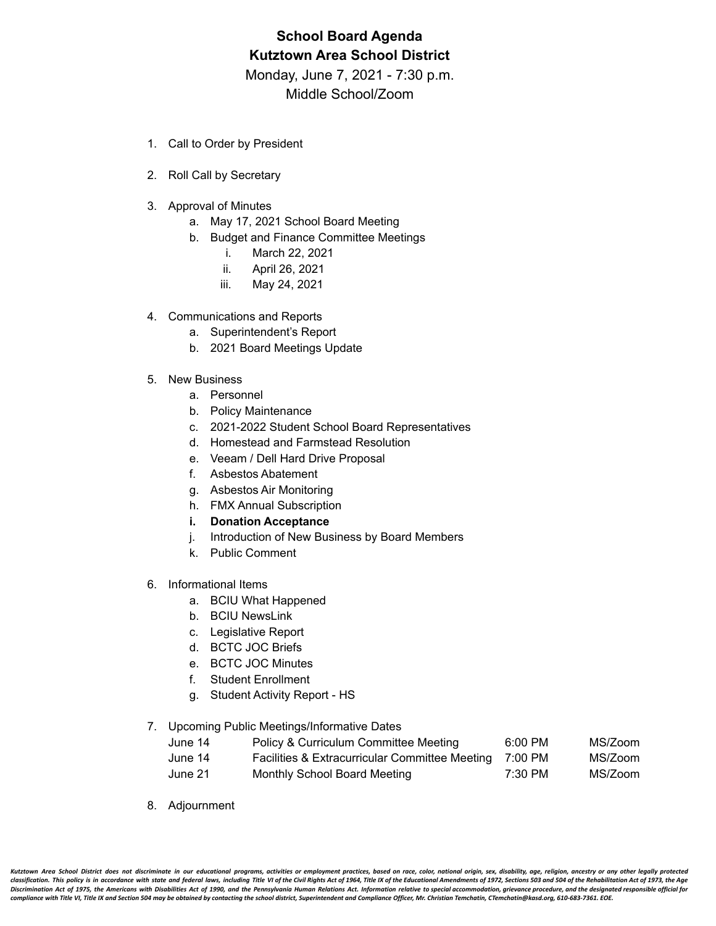# **School Board Agenda Kutztown Area School District**

Monday, June 7, 2021 - 7:30 p.m.

Middle School/Zoom

- 1. Call to Order by President
- 2. Roll Call by Secretary
- 3. Approval of Minutes
	- a. May 17, 2021 School Board Meeting
	- b. Budget and Finance Committee Meetings
		- i. March 22, 2021
		- ii. April 26, 2021
		- iii. May 24, 2021
- 4. Communications and Reports
	- a. Superintendent's Report
	- b. 2021 Board Meetings Update
- 5. New Business
	- a. Personnel
	- b. Policy Maintenance
	- c. 2021-2022 Student School Board Representatives
	- d. Homestead and Farmstead Resolution
	- e. Veeam / Dell Hard Drive Proposal
	- f. Asbestos Abatement
	- g. Asbestos Air Monitoring
	- h. FMX Annual Subscription
	- **i. Donation Acceptance**
	- j. Introduction of New Business by Board Members
	- k. Public Comment
- 6. Informational Items
	- a. BCIU What Happened
	- b. BCIU NewsLink
	- c. Legislative Report
	- d. BCTC JOC Briefs
	- e. BCTC JOC Minutes
	- f. Student Enrollment
	- g. Student Activity Report HS
- 7. Upcoming Public Meetings/Informative Dates

| June 14 | Policy & Curriculum Committee Meeting          | 6:00 PM | MS/Zoom |
|---------|------------------------------------------------|---------|---------|
| June 14 | Facilities & Extracurricular Committee Meeting | 7:00 PM | MS/Zoom |
| June 21 | Monthly School Board Meeting                   | 7:30 PM | MS/Zoom |

8. Adjournment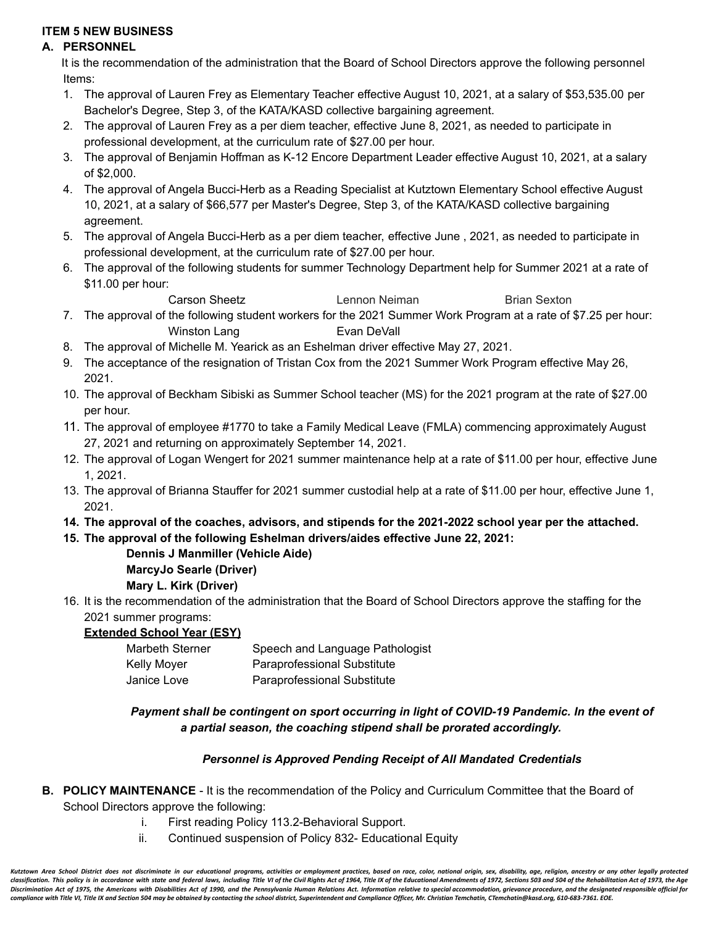#### **ITEM 5 NEW BUSINESS**

#### **A. PERSONNEL**

It is the recommendation of the administration that the Board of School Directors approve the following personnel Items:

- 1. The approval of Lauren Frey as Elementary Teacher effective August 10, 2021, at a salary of \$53,535.00 per Bachelor's Degree, Step 3, of the KATA/KASD collective bargaining agreement.
- 2. The approval of Lauren Frey as a per diem teacher, effective June 8, 2021, as needed to participate in professional development, at the curriculum rate of \$27.00 per hour.
- 3. The approval of Benjamin Hoffman as K-12 Encore Department Leader effective August 10, 2021, at a salary of \$2,000.
- 4. The approval of Angela Bucci-Herb as a Reading Specialist at Kutztown Elementary School effective August 10, 2021, at a salary of \$66,577 per Master's Degree, Step 3, of the KATA/KASD collective bargaining agreement.
- 5. The approval of Angela Bucci-Herb as a per diem teacher, effective June , 2021, as needed to participate in professional development, at the curriculum rate of \$27.00 per hour.
- 6. The approval of the following students for summer Technology Department help for Summer 2021 at a rate of \$11.00 per hour:
- Carson Sheetz Lennon Neiman Brian Sexton 7. The approval of the following student workers for the 2021 Summer Work Program at a rate of \$7.25 per hour: Winston Lang **Evan DeVall**
- 8. The approval of Michelle M. Yearick as an Eshelman driver effective May 27, 2021.
- 9. The acceptance of the resignation of Tristan Cox from the 2021 Summer Work Program effective May 26, 2021.
- 10. The approval of Beckham Sibiski as Summer School teacher (MS) for the 2021 program at the rate of \$27.00 per hour.
- 11. The approval of employee #1770 to take a Family Medical Leave (FMLA) commencing approximately August 27, 2021 and returning on approximately September 14, 2021.
- 12. The approval of Logan Wengert for 2021 summer maintenance help at a rate of \$11.00 per hour, effective June 1, 2021.
- 13. The approval of Brianna Stauffer for 2021 summer custodial help at a rate of \$11.00 per hour, effective June 1, 2021.
- **14. The approval of the coaches, advisors, and stipends for the 2021-2022 school year per the attached.**
- **15. The approval of the following Eshelman drivers/aides effective June 22, 2021:**

## **Dennis J Manmiller (Vehicle Aide)**

**MarcyJo Searle (Driver) Mary L. Kirk (Driver)**

16. It is the recommendation of the administration that the Board of School Directors approve the staffing for the 2021 summer programs:

## **Extended School Year (ESY)**

| <b>Marbeth Sterner</b> | Speech and Language Pathologist |
|------------------------|---------------------------------|
| <b>Kelly Moyer</b>     | Paraprofessional Substitute     |
| Janice Love            | Paraprofessional Substitute     |

*Payment shall be contingent on sport occurring in light of COVID-19 Pandemic. In the event of a partial season, the coaching stipend shall be prorated accordingly.*

## *Personnel is Approved Pending Receipt of All Mandated Credentials*

- **B. POLICY MAINTENANCE** It is the recommendation of the Policy and Curriculum Committee that the Board of School Directors approve the following:
	- i. First reading Policy 113.2-Behavioral Support.
	- ii. Continued suspension of Policy 832- Educational Equity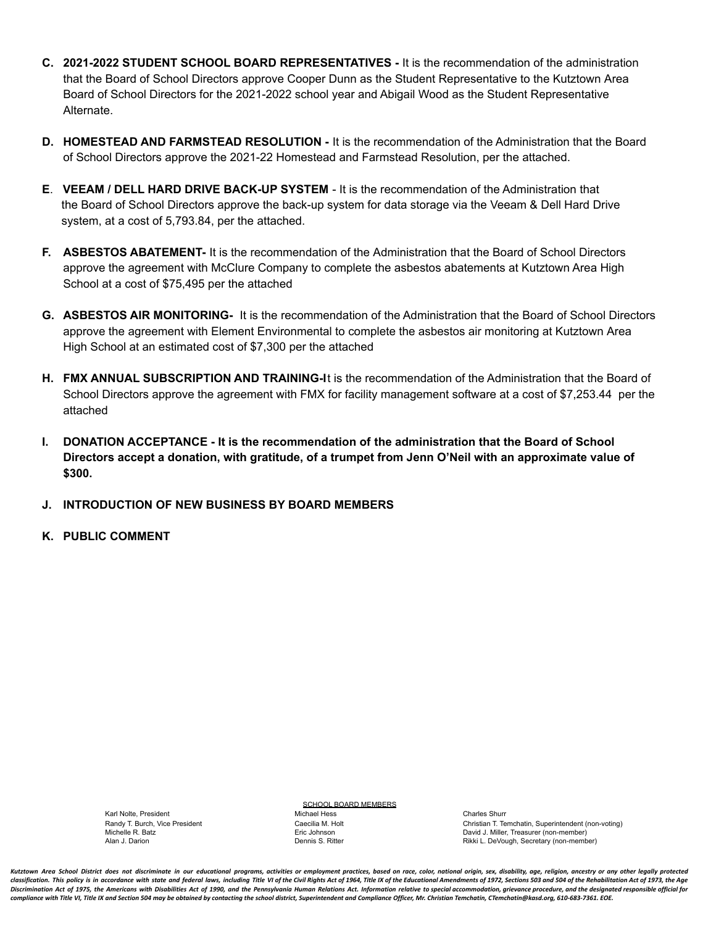- **C. 2021-2022 STUDENT SCHOOL BOARD REPRESENTATIVES -** It is the recommendation of the administration that the Board of School Directors approve Cooper Dunn as the Student Representative to the Kutztown Area Board of School Directors for the 2021-2022 school year and Abigail Wood as the Student Representative Alternate.
- **D. HOMESTEAD AND FARMSTEAD RESOLUTION -** It is the recommendation of the Administration that the Board of School Directors approve the 2021-22 Homestead and Farmstead Resolution, per the attached.
- **E**. **VEEAM / DELL HARD DRIVE BACK-UP SYSTEM** It is the recommendation of the Administration that the Board of School Directors approve the back-up system for data storage via the Veeam & Dell Hard Drive system, at a cost of 5,793.84, per the attached.
- **F. ASBESTOS ABATEMENT-** It is the recommendation of the Administration that the Board of School Directors approve the agreement with McClure Company to complete the asbestos abatements at Kutztown Area High School at a cost of \$75,495 per the attached
- **G. ASBESTOS AIR MONITORING-** It is the recommendation of the Administration that the Board of School Directors approve the agreement with Element Environmental to complete the asbestos air monitoring at Kutztown Area High School at an estimated cost of \$7,300 per the attached
- **H. FMX ANNUAL SUBSCRIPTION AND TRAINING-I**t is the recommendation of the Administration that the Board of School Directors approve the agreement with FMX for facility management software at a cost of \$7,253.44 per the attached
- **I. DONATION ACCEPTANCE - It is the recommendation of the administration that the Board of School Directors accept a donation, with gratitude, of a trumpet from Jenn O'Neil with an approximate value of \$300.**
- **J. INTRODUCTION OF NEW BUSINESS BY BOARD MEMBERS**
- **K. PUBLIC COMMENT**

SCHOOL BOARD MEMBERS Karl Nolte, President Michael Hess Charles Shurr

Randy T. Burch, Vice President **Caecilia M. Holt** Caecilia M. Holt Christian T. Temchatin, Superintendent (non-voting) Michelle R. Batz **Eric Johnson** Eric Johnson David J. Miller, Treasurer (non-member) Alan J. Darion Dennis S. Ritter Rikki L. DeVough, Secretary (non-member)

Kutztown Area School District does not discriminate in our educational programs, activities or employment practices, based on race, color, national origin, sex, disability, age, religion, ancestry or any other legally prot classification. This policy is in accordance with state and federal laws, including Title VI of the Civil Rights Act of 1964, Title IX of the Educational Amendments of 1972, Sections 503 and 504 of the Rehabilitation Act o Discrimination Act of 1975, the Americans with Disabilities Act of 1990, and the Pennsylvania Human Relations Act. Information relative to special accommodation, grievance procedure, and the designated responsible official compliance with Title VI, Title IX and Section 504 may be obtained by contacting the school district, Superintendent and Compliance Officer, Mr. Christian Temchatin, CTemchatin@kasd.org, 610-683-7361. EOE.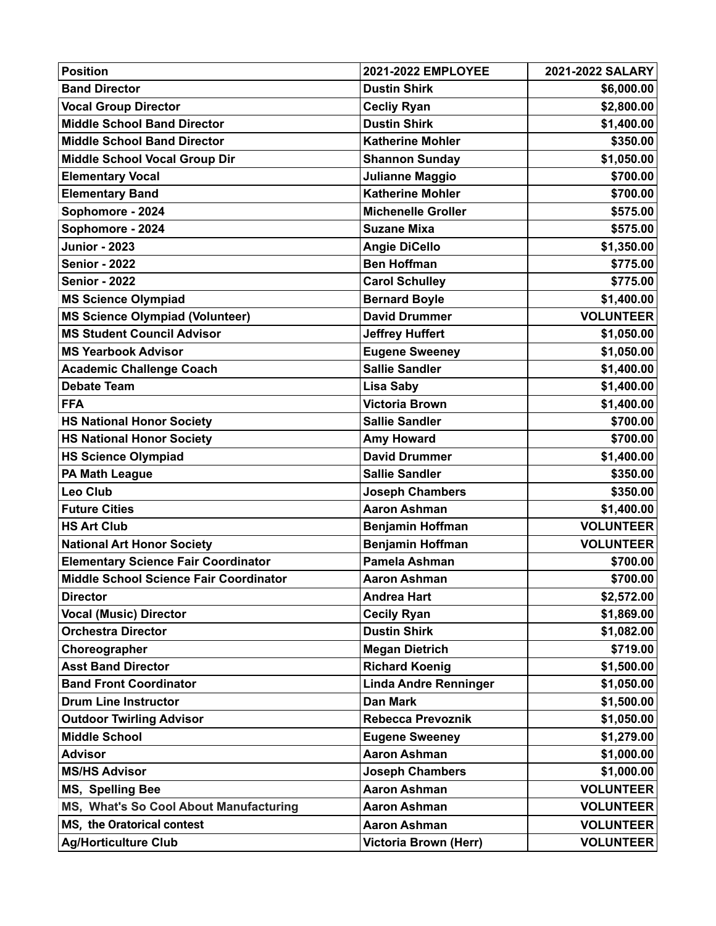| <b>Position</b>                            | 2021-2022 EMPLOYEE           | 2021-2022 SALARY |
|--------------------------------------------|------------------------------|------------------|
| <b>Band Director</b>                       | <b>Dustin Shirk</b>          | \$6,000.00       |
| <b>Vocal Group Director</b>                | <b>Cecliy Ryan</b>           | \$2,800.00       |
| <b>Middle School Band Director</b>         | <b>Dustin Shirk</b>          | \$1,400.00       |
| <b>Middle School Band Director</b>         | <b>Katherine Mohler</b>      | \$350.00         |
| <b>Middle School Vocal Group Dir</b>       | <b>Shannon Sunday</b>        | \$1,050.00       |
| <b>Elementary Vocal</b>                    | Julianne Maggio              | \$700.00         |
| <b>Elementary Band</b>                     | <b>Katherine Mohler</b>      | \$700.00         |
| Sophomore - 2024                           | <b>Michenelle Groller</b>    | \$575.00         |
| Sophomore - 2024                           | <b>Suzane Mixa</b>           | \$575.00         |
| <b>Junior - 2023</b>                       | <b>Angie DiCello</b>         | \$1,350.00       |
| <b>Senior - 2022</b>                       | <b>Ben Hoffman</b>           | \$775.00         |
| <b>Senior - 2022</b>                       | <b>Carol Schulley</b>        | \$775.00         |
| <b>MS Science Olympiad</b>                 | <b>Bernard Boyle</b>         | \$1,400.00       |
| <b>MS Science Olympiad (Volunteer)</b>     | <b>David Drummer</b>         | <b>VOLUNTEER</b> |
| <b>MS Student Council Advisor</b>          | <b>Jeffrey Huffert</b>       | \$1,050.00       |
| <b>MS Yearbook Advisor</b>                 | <b>Eugene Sweeney</b>        | \$1,050.00       |
| <b>Academic Challenge Coach</b>            | <b>Sallie Sandler</b>        | \$1,400.00       |
| <b>Debate Team</b>                         | <b>Lisa Saby</b>             | \$1,400.00       |
| <b>FFA</b>                                 | <b>Victoria Brown</b>        | \$1,400.00       |
| <b>HS National Honor Society</b>           | <b>Sallie Sandler</b>        | \$700.00         |
| <b>HS National Honor Society</b>           | <b>Amy Howard</b>            | \$700.00         |
| <b>HS Science Olympiad</b>                 | <b>David Drummer</b>         | \$1,400.00       |
| <b>PA Math League</b>                      | <b>Sallie Sandler</b>        | \$350.00         |
| <b>Leo Club</b>                            | <b>Joseph Chambers</b>       | \$350.00         |
| <b>Future Cities</b>                       | <b>Aaron Ashman</b>          | \$1,400.00       |
| <b>HS Art Club</b>                         | <b>Benjamin Hoffman</b>      | <b>VOLUNTEER</b> |
| <b>National Art Honor Society</b>          | <b>Benjamin Hoffman</b>      | <b>VOLUNTEER</b> |
| <b>Elementary Science Fair Coordinator</b> | Pamela Ashman                | \$700.00         |
| Middle School Science Fair Coordinator     | <b>Aaron Ashman</b>          | \$700.00         |
| <b>Director</b>                            | <b>Andrea Hart</b>           | \$2,572.00       |
| <b>Vocal (Music) Director</b>              | <b>Cecily Ryan</b>           | \$1,869.00       |
| <b>Orchestra Director</b>                  | <b>Dustin Shirk</b>          | \$1,082.00       |
| Choreographer                              | <b>Megan Dietrich</b>        | \$719.00         |
| <b>Asst Band Director</b>                  | <b>Richard Koenig</b>        | \$1,500.00       |
| <b>Band Front Coordinator</b>              | <b>Linda Andre Renninger</b> | \$1,050.00       |
| <b>Drum Line Instructor</b>                | <b>Dan Mark</b>              | \$1,500.00       |
| <b>Outdoor Twirling Advisor</b>            | <b>Rebecca Prevoznik</b>     | \$1,050.00       |
| <b>Middle School</b>                       | <b>Eugene Sweeney</b>        | \$1,279.00       |
| <b>Advisor</b>                             | <b>Aaron Ashman</b>          | \$1,000.00       |
| <b>MS/HS Advisor</b>                       | <b>Joseph Chambers</b>       | \$1,000.00       |
| MS, Spelling Bee                           | <b>Aaron Ashman</b>          | <b>VOLUNTEER</b> |
| MS, What's So Cool About Manufacturing     | <b>Aaron Ashman</b>          | <b>VOLUNTEER</b> |
| MS, the Oratorical contest                 | <b>Aaron Ashman</b>          | <b>VOLUNTEER</b> |
| <b>Ag/Horticulture Club</b>                | Victoria Brown (Herr)        | <b>VOLUNTEER</b> |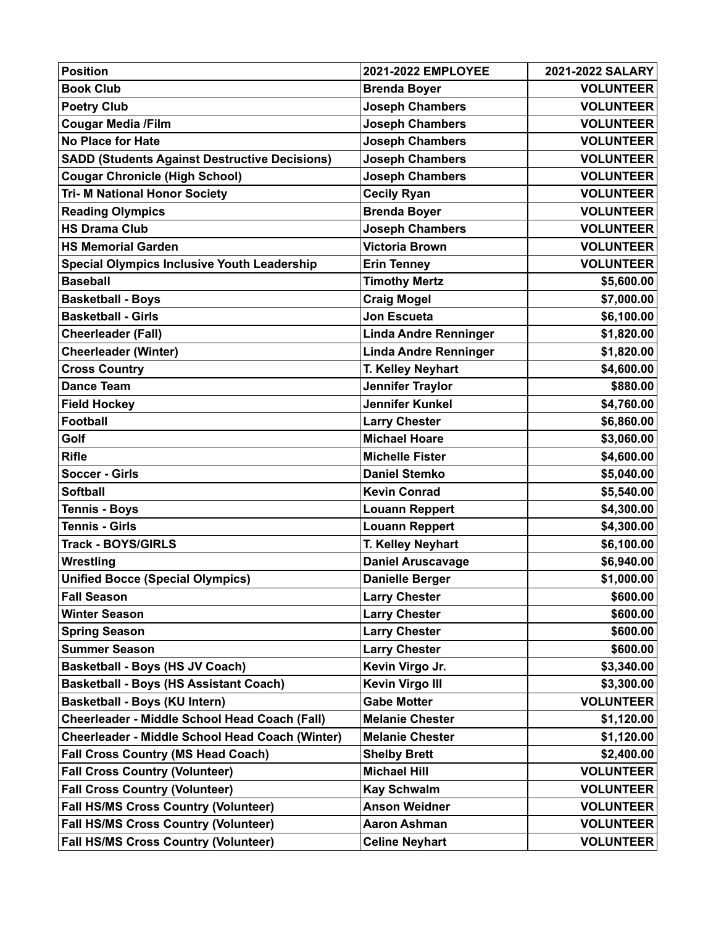| <b>Position</b>                                      | 2021-2022 EMPLOYEE           | 2021-2022 SALARY |
|------------------------------------------------------|------------------------------|------------------|
| <b>Book Club</b>                                     | <b>Brenda Boyer</b>          | <b>VOLUNTEER</b> |
| <b>Poetry Club</b>                                   | <b>Joseph Chambers</b>       | <b>VOLUNTEER</b> |
| <b>Cougar Media /Film</b>                            | <b>Joseph Chambers</b>       | <b>VOLUNTEER</b> |
| <b>No Place for Hate</b>                             | <b>Joseph Chambers</b>       | <b>VOLUNTEER</b> |
| <b>SADD (Students Against Destructive Decisions)</b> | <b>Joseph Chambers</b>       | <b>VOLUNTEER</b> |
| <b>Cougar Chronicle (High School)</b>                | <b>Joseph Chambers</b>       | <b>VOLUNTEER</b> |
| <b>Tri- M National Honor Society</b>                 | <b>Cecily Ryan</b>           | <b>VOLUNTEER</b> |
| <b>Reading Olympics</b>                              | <b>Brenda Boyer</b>          | <b>VOLUNTEER</b> |
| <b>HS Drama Club</b>                                 | <b>Joseph Chambers</b>       | <b>VOLUNTEER</b> |
| <b>HS Memorial Garden</b>                            | <b>Victoria Brown</b>        | <b>VOLUNTEER</b> |
| <b>Special Olympics Inclusive Youth Leadership</b>   | <b>Erin Tenney</b>           | <b>VOLUNTEER</b> |
| <b>Baseball</b>                                      | <b>Timothy Mertz</b>         | \$5,600.00       |
| <b>Basketball - Boys</b>                             | <b>Craig Mogel</b>           | \$7,000.00       |
| <b>Basketball - Girls</b>                            | <b>Jon Escueta</b>           | \$6,100.00       |
| <b>Cheerleader (Fall)</b>                            | <b>Linda Andre Renninger</b> | \$1,820.00       |
| <b>Cheerleader (Winter)</b>                          | <b>Linda Andre Renninger</b> | \$1,820.00       |
| <b>Cross Country</b>                                 | T. Kelley Neyhart            | \$4,600.00       |
| <b>Dance Team</b>                                    | <b>Jennifer Traylor</b>      | \$880.00         |
| <b>Field Hockey</b>                                  | <b>Jennifer Kunkel</b>       | \$4,760.00       |
| <b>Football</b>                                      | <b>Larry Chester</b>         | \$6,860.00       |
| Golf                                                 | <b>Michael Hoare</b>         | \$3,060.00       |
| <b>Rifle</b>                                         | <b>Michelle Fister</b>       | \$4,600.00       |
| <b>Soccer - Girls</b>                                | <b>Daniel Stemko</b>         | \$5,040.00       |
| <b>Softball</b>                                      | <b>Kevin Conrad</b>          | \$5,540.00       |
| <b>Tennis - Boys</b>                                 | <b>Louann Reppert</b>        | \$4,300.00       |
| <b>Tennis - Girls</b>                                | <b>Louann Reppert</b>        | \$4,300.00       |
| <b>Track - BOYS/GIRLS</b>                            | T. Kelley Neyhart            | \$6,100.00       |
| Wrestling                                            | <b>Daniel Aruscavage</b>     | \$6,940.00       |
| <b>Unified Bocce (Special Olympics)</b>              | <b>Danielle Berger</b>       | \$1,000.00       |
| <b>Fall Season</b>                                   | <b>Larry Chester</b>         | \$600.00         |
| <b>Winter Season</b>                                 | <b>Larry Chester</b>         | \$600.00         |
| <b>Spring Season</b>                                 | <b>Larry Chester</b>         | \$600.00         |
| <b>Summer Season</b>                                 | <b>Larry Chester</b>         | \$600.00         |
| <b>Basketball - Boys (HS JV Coach)</b>               | Kevin Virgo Jr.              | \$3,340.00       |
| <b>Basketball - Boys (HS Assistant Coach)</b>        | <b>Kevin Virgo III</b>       | \$3,300.00       |
| <b>Basketball - Boys (KU Intern)</b>                 | <b>Gabe Motter</b>           | <b>VOLUNTEER</b> |
| <b>Cheerleader - Middle School Head Coach (Fall)</b> | <b>Melanie Chester</b>       | \$1,120.00       |
| Cheerleader - Middle School Head Coach (Winter)      | <b>Melanie Chester</b>       | \$1,120.00       |
| <b>Fall Cross Country (MS Head Coach)</b>            | <b>Shelby Brett</b>          | \$2,400.00       |
| <b>Fall Cross Country (Volunteer)</b>                | <b>Michael Hill</b>          | <b>VOLUNTEER</b> |
| <b>Fall Cross Country (Volunteer)</b>                | <b>Kay Schwalm</b>           | <b>VOLUNTEER</b> |
| <b>Fall HS/MS Cross Country (Volunteer)</b>          | <b>Anson Weidner</b>         | <b>VOLUNTEER</b> |
| Fall HS/MS Cross Country (Volunteer)                 | <b>Aaron Ashman</b>          | <b>VOLUNTEER</b> |
| <b>Fall HS/MS Cross Country (Volunteer)</b>          | <b>Celine Neyhart</b>        | <b>VOLUNTEER</b> |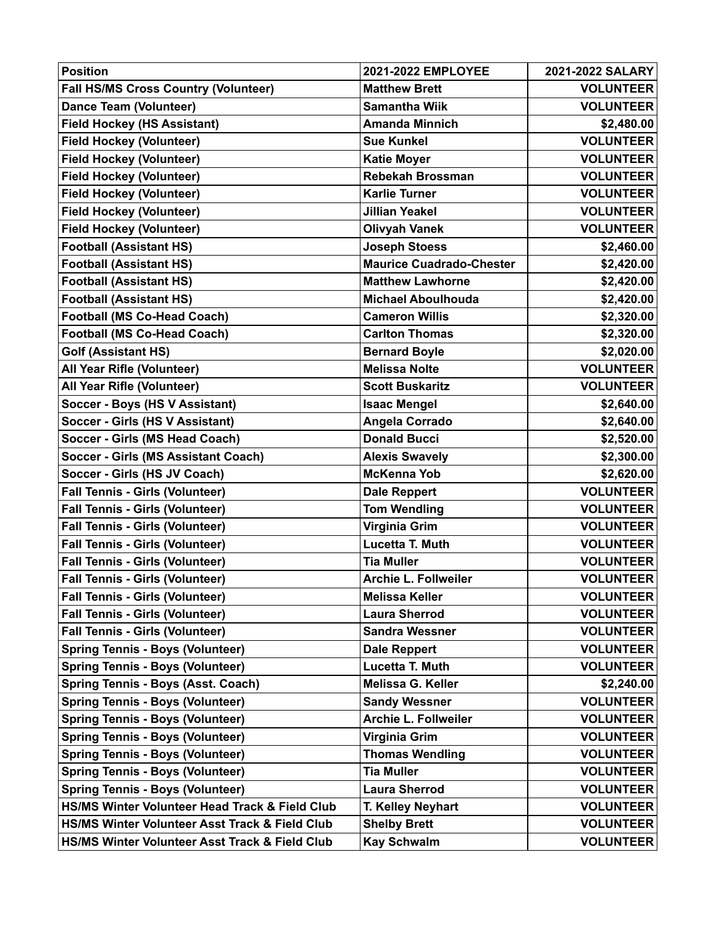| <b>Position</b>                                           | 2021-2022 EMPLOYEE              | 2021-2022 SALARY |
|-----------------------------------------------------------|---------------------------------|------------------|
| <b>Fall HS/MS Cross Country (Volunteer)</b>               | <b>Matthew Brett</b>            | <b>VOLUNTEER</b> |
| Dance Team (Volunteer)                                    | <b>Samantha Wiik</b>            | <b>VOLUNTEER</b> |
| <b>Field Hockey (HS Assistant)</b>                        | <b>Amanda Minnich</b>           | \$2,480.00       |
| <b>Field Hockey (Volunteer)</b>                           | <b>Sue Kunkel</b>               | <b>VOLUNTEER</b> |
| <b>Field Hockey (Volunteer)</b>                           | <b>Katie Moyer</b>              | <b>VOLUNTEER</b> |
| <b>Field Hockey (Volunteer)</b>                           | <b>Rebekah Brossman</b>         | <b>VOLUNTEER</b> |
| <b>Field Hockey (Volunteer)</b>                           | <b>Karlie Turner</b>            | <b>VOLUNTEER</b> |
| <b>Field Hockey (Volunteer)</b>                           | <b>Jillian Yeakel</b>           | <b>VOLUNTEER</b> |
| <b>Field Hockey (Volunteer)</b>                           | <b>Olivyah Vanek</b>            | <b>VOLUNTEER</b> |
| <b>Football (Assistant HS)</b>                            | <b>Joseph Stoess</b>            | \$2,460.00       |
| <b>Football (Assistant HS)</b>                            | <b>Maurice Cuadrado-Chester</b> | \$2,420.00       |
| <b>Football (Assistant HS)</b>                            | <b>Matthew Lawhorne</b>         | \$2,420.00       |
| <b>Football (Assistant HS)</b>                            | <b>Michael Aboulhouda</b>       | \$2,420.00       |
| <b>Football (MS Co-Head Coach)</b>                        | <b>Cameron Willis</b>           | \$2,320.00       |
| <b>Football (MS Co-Head Coach)</b>                        | <b>Carlton Thomas</b>           | \$2,320.00       |
| <b>Golf (Assistant HS)</b>                                | <b>Bernard Boyle</b>            | \$2,020.00       |
| All Year Rifle (Volunteer)                                | <b>Melissa Nolte</b>            | <b>VOLUNTEER</b> |
| All Year Rifle (Volunteer)                                | <b>Scott Buskaritz</b>          | <b>VOLUNTEER</b> |
| Soccer - Boys (HS V Assistant)                            | <b>Isaac Mengel</b>             | \$2,640.00       |
| Soccer - Girls (HS V Assistant)                           | Angela Corrado                  | \$2,640.00       |
| Soccer - Girls (MS Head Coach)                            | <b>Donald Bucci</b>             | \$2,520.00       |
| Soccer - Girls (MS Assistant Coach)                       | <b>Alexis Swavely</b>           | \$2,300.00       |
| Soccer - Girls (HS JV Coach)                              | <b>McKenna Yob</b>              | \$2,620.00       |
| <b>Fall Tennis - Girls (Volunteer)</b>                    | <b>Dale Reppert</b>             | <b>VOLUNTEER</b> |
| <b>Fall Tennis - Girls (Volunteer)</b>                    | <b>Tom Wendling</b>             | <b>VOLUNTEER</b> |
| <b>Fall Tennis - Girls (Volunteer)</b>                    | Virginia Grim                   | <b>VOLUNTEER</b> |
| <b>Fall Tennis - Girls (Volunteer)</b>                    | <b>Lucetta T. Muth</b>          | <b>VOLUNTEER</b> |
| <b>Fall Tennis - Girls (Volunteer)</b>                    | <b>Tia Muller</b>               | <b>VOLUNTEER</b> |
| <b>Fall Tennis - Girls (Volunteer)</b>                    | <b>Archie L. Follweiler</b>     | <b>VOLUNTEER</b> |
| <b>Fall Tennis - Girls (Volunteer)</b>                    | <b>Melissa Keller</b>           | <b>VOLUNTEER</b> |
| <b>Fall Tennis - Girls (Volunteer)</b>                    | <b>Laura Sherrod</b>            | <b>VOLUNTEER</b> |
| <b>Fall Tennis - Girls (Volunteer)</b>                    | <b>Sandra Wessner</b>           | <b>VOLUNTEER</b> |
| <b>Spring Tennis - Boys (Volunteer)</b>                   | <b>Dale Reppert</b>             | <b>VOLUNTEER</b> |
| <b>Spring Tennis - Boys (Volunteer)</b>                   | Lucetta T. Muth                 | <b>VOLUNTEER</b> |
| <b>Spring Tennis - Boys (Asst. Coach)</b>                 | Melissa G. Keller               | \$2,240.00       |
| <b>Spring Tennis - Boys (Volunteer)</b>                   | <b>Sandy Wessner</b>            | <b>VOLUNTEER</b> |
| <b>Spring Tennis - Boys (Volunteer)</b>                   | <b>Archie L. Follweiler</b>     | <b>VOLUNTEER</b> |
| <b>Spring Tennis - Boys (Volunteer)</b>                   | Virginia Grim                   | <b>VOLUNTEER</b> |
| <b>Spring Tennis - Boys (Volunteer)</b>                   | <b>Thomas Wendling</b>          | <b>VOLUNTEER</b> |
| <b>Spring Tennis - Boys (Volunteer)</b>                   | <b>Tia Muller</b>               | <b>VOLUNTEER</b> |
| <b>Spring Tennis - Boys (Volunteer)</b>                   | <b>Laura Sherrod</b>            | <b>VOLUNTEER</b> |
| <b>HS/MS Winter Volunteer Head Track &amp; Field Club</b> | T. Kelley Neyhart               | <b>VOLUNTEER</b> |
| HS/MS Winter Volunteer Asst Track & Field Club            | <b>Shelby Brett</b>             | <b>VOLUNTEER</b> |
| <b>HS/MS Winter Volunteer Asst Track &amp; Field Club</b> | <b>Kay Schwalm</b>              | <b>VOLUNTEER</b> |